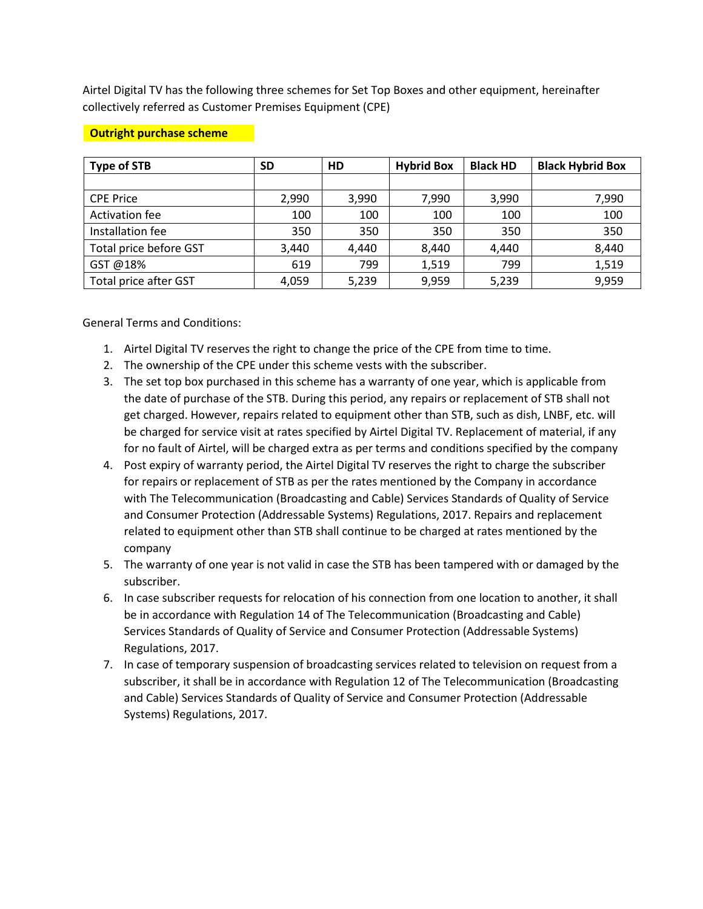Airtel Digital TV has the following three schemes for Set Top Boxes and other equipment, hereinafter collectively referred as Customer Premises Equipment (CPE)

| <b>Type of STB</b>     | <b>SD</b> | HD    | <b>Hybrid Box</b> | <b>Black HD</b> | <b>Black Hybrid Box</b> |
|------------------------|-----------|-------|-------------------|-----------------|-------------------------|
|                        |           |       |                   |                 |                         |
| <b>CPE Price</b>       | 2,990     | 3,990 | 7,990             | 3,990           | 7,990                   |
| Activation fee         | 100       | 100   | 100               | 100             | 100                     |
| Installation fee       | 350       | 350   | 350               | 350             | 350                     |
| Total price before GST | 3,440     | 4.440 | 8,440             | 4.440           | 8,440                   |
| GST @18%               | 619       | 799   | 1,519             | 799             | 1,519                   |
| Total price after GST  | 4,059     | 5,239 | 9,959             | 5,239           | 9,959                   |

### **Outright purchase scheme**

General Terms and Conditions:

- 1. Airtel Digital TV reserves the right to change the price of the CPE from time to time.
- 2. The ownership of the CPE under this scheme vests with the subscriber.
- 3. The set top box purchased in this scheme has a warranty of one year, which is applicable from the date of purchase of the STB. During this period, any repairs or replacement of STB shall not get charged. However, repairs related to equipment other than STB, such as dish, LNBF, etc. will be charged for service visit at rates specified by Airtel Digital TV. Replacement of material, if any for no fault of Airtel, will be charged extra as per terms and conditions specified by the company
- 4. Post expiry of warranty period, the Airtel Digital TV reserves the right to charge the subscriber for repairs or replacement of STB as per the rates mentioned by the Company in accordance with The Telecommunication (Broadcasting and Cable) Services Standards of Quality of Service and Consumer Protection (Addressable Systems) Regulations, 2017. Repairs and replacement related to equipment other than STB shall continue to be charged at rates mentioned by the company
- 5. The warranty of one year is not valid in case the STB has been tampered with or damaged by the subscriber.
- 6. In case subscriber requests for relocation of his connection from one location to another, it shall be in accordance with Regulation 14 of The Telecommunication (Broadcasting and Cable) Services Standards of Quality of Service and Consumer Protection (Addressable Systems) Regulations, 2017.
- 7. In case of temporary suspension of broadcasting services related to television on request from a subscriber, it shall be in accordance with Regulation 12 of The Telecommunication (Broadcasting and Cable) Services Standards of Quality of Service and Consumer Protection (Addressable Systems) Regulations, 2017.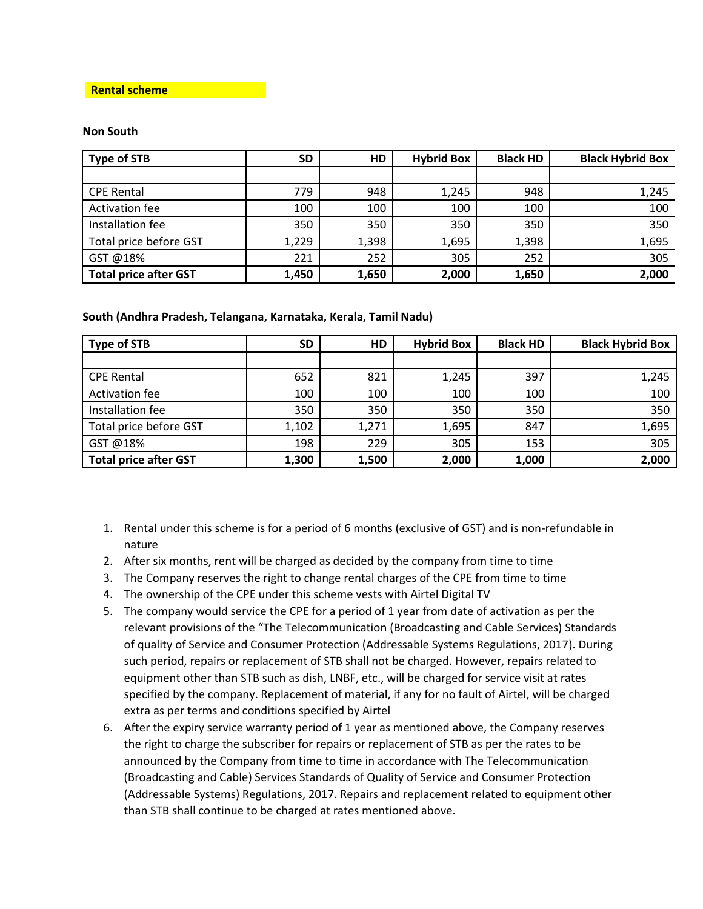#### **Rental scheme**

#### **Non South**

| <b>Type of STB</b>           | <b>SD</b> | <b>HD</b> | <b>Hybrid Box</b> | <b>Black HD</b> | <b>Black Hybrid Box</b> |
|------------------------------|-----------|-----------|-------------------|-----------------|-------------------------|
|                              |           |           |                   |                 |                         |
| <b>CPE Rental</b>            | 779       | 948       | 1,245             | 948             | 1,245                   |
| <b>Activation fee</b>        | 100       | 100       | 100               | 100             | 100                     |
| Installation fee             | 350       | 350       | 350               | 350             | 350                     |
| Total price before GST       | 1,229     | 1,398     | 1,695             | 1,398           | 1,695                   |
| GST @18%                     | 221       | 252       | 305               | 252             | 305                     |
| <b>Total price after GST</b> | 1,450     | 1,650     | 2,000             | 1,650           | 2,000                   |

## **South (Andhra Pradesh, Telangana, Karnataka, Kerala, Tamil Nadu)**

| <b>Type of STB</b>           | <b>SD</b> | <b>HD</b> | <b>Hybrid Box</b> | <b>Black HD</b> | <b>Black Hybrid Box</b> |
|------------------------------|-----------|-----------|-------------------|-----------------|-------------------------|
|                              |           |           |                   |                 |                         |
| <b>CPE Rental</b>            | 652       | 821       | 1,245             | 397             | 1,245                   |
| Activation fee               | 100       | 100       | 100               | 100             | 100                     |
| Installation fee             | 350       | 350       | 350               | 350             | 350                     |
| Total price before GST       | 1,102     | 1,271     | 1,695             | 847             | 1,695                   |
| GST @18%                     | 198       | 229       | 305               | 153             | 305                     |
| <b>Total price after GST</b> | 1,300     | 1,500     | 2,000             | 1,000           | 2,000                   |

- 1. Rental under this scheme is for a period of 6 months (exclusive of GST) and is non-refundable in nature
- 2. After six months, rent will be charged as decided by the company from time to time
- 3. The Company reserves the right to change rental charges of the CPE from time to time
- 4. The ownership of the CPE under this scheme vests with Airtel Digital TV
- 5. The company would service the CPE for a period of 1 year from date of activation as per the relevant provisions of the "The Telecommunication (Broadcasting and Cable Services) Standards of quality of Service and Consumer Protection (Addressable Systems Regulations, 2017). During such period, repairs or replacement of STB shall not be charged. However, repairs related to equipment other than STB such as dish, LNBF, etc., will be charged for service visit at rates specified by the company. Replacement of material, if any for no fault of Airtel, will be charged extra as per terms and conditions specified by Airtel
- 6. After the expiry service warranty period of 1 year as mentioned above, the Company reserves the right to charge the subscriber for repairs or replacement of STB as per the rates to be announced by the Company from time to time in accordance with The Telecommunication (Broadcasting and Cable) Services Standards of Quality of Service and Consumer Protection (Addressable Systems) Regulations, 2017. Repairs and replacement related to equipment other than STB shall continue to be charged at rates mentioned above.